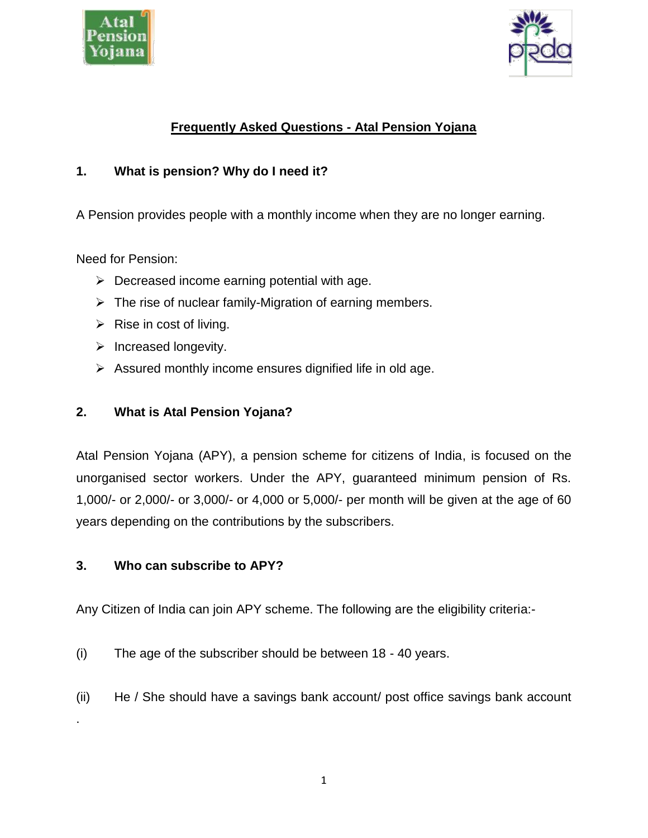



# **Frequently Asked Questions - Atal Pension Yojana**

### **1. What is pension? Why do I need it?**

A Pension provides people with a monthly income when they are no longer earning.

Need for Pension:

- $\triangleright$  Decreased income earning potential with age.
- $\triangleright$  The rise of nuclear family-Migration of earning members.
- $\triangleright$  Rise in cost of living.
- $\triangleright$  Increased longevity.
- $\triangleright$  Assured monthly income ensures dignified life in old age.

### **2. What is Atal Pension Yojana?**

Atal Pension Yojana (APY), a pension scheme for citizens of India, is focused on the unorganised sector workers. Under the APY, guaranteed minimum pension of Rs. 1,000/- or 2,000/- or 3,000/- or 4,000 or 5,000/- per month will be given at the age of 60 years depending on the contributions by the subscribers.

#### **3. Who can subscribe to APY?**

.

Any Citizen of India can join APY scheme. The following are the eligibility criteria:-

- (i) The age of the subscriber should be between 18 40 years.
- (ii) He / She should have a savings bank account/ post office savings bank account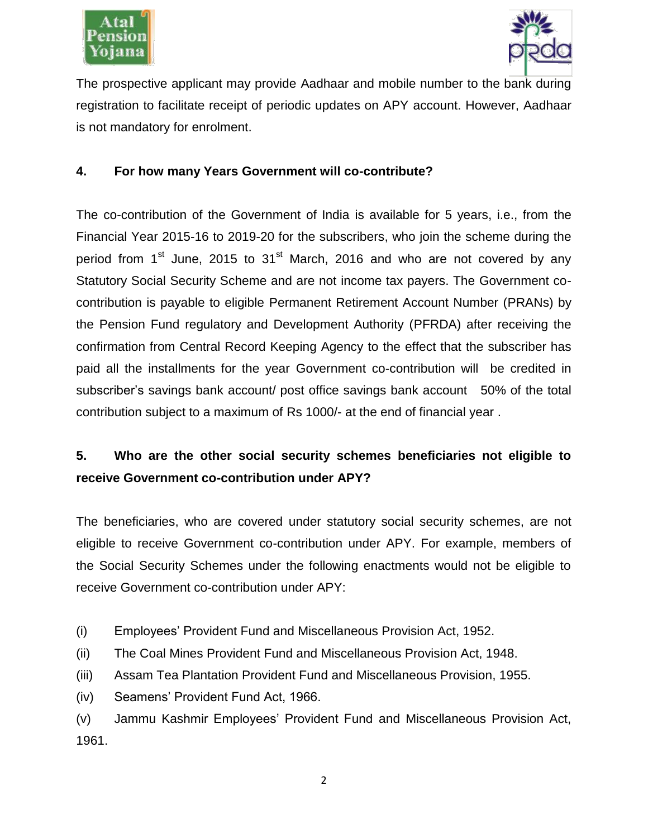



The prospective applicant may provide Aadhaar and mobile number to the bank during registration to facilitate receipt of periodic updates on APY account. However, Aadhaar is not mandatory for enrolment.

#### **4. For how many Years Government will co-contribute?**

The co-contribution of the Government of India is available for 5 years, i.e., from the Financial Year 2015-16 to 2019-20 for the subscribers, who join the scheme during the period from  $1<sup>st</sup>$  June, 2015 to  $31<sup>st</sup>$  March, 2016 and who are not covered by any Statutory Social Security Scheme and are not income tax payers. The Government cocontribution is payable to eligible Permanent Retirement Account Number (PRANs) by the Pension Fund regulatory and Development Authority (PFRDA) after receiving the confirmation from Central Record Keeping Agency to the effect that the subscriber has paid all the installments for the year Government co-contribution will be credited in subscriber's savings bank account/ post office savings bank account 50% of the total contribution subject to a maximum of Rs 1000/- at the end of financial year .

# **5. Who are the other social security schemes beneficiaries not eligible to receive Government co-contribution under APY?**

The beneficiaries, who are covered under statutory social security schemes, are not eligible to receive Government co-contribution under APY. For example, members of the Social Security Schemes under the following enactments would not be eligible to receive Government co-contribution under APY:

- (i) Employees' Provident Fund and Miscellaneous Provision Act, 1952.
- (ii) The Coal Mines Provident Fund and Miscellaneous Provision Act, 1948.
- (iii) Assam Tea Plantation Provident Fund and Miscellaneous Provision, 1955.
- (iv) Seamens' Provident Fund Act, 1966.

(v) Jammu Kashmir Employees' Provident Fund and Miscellaneous Provision Act, 1961.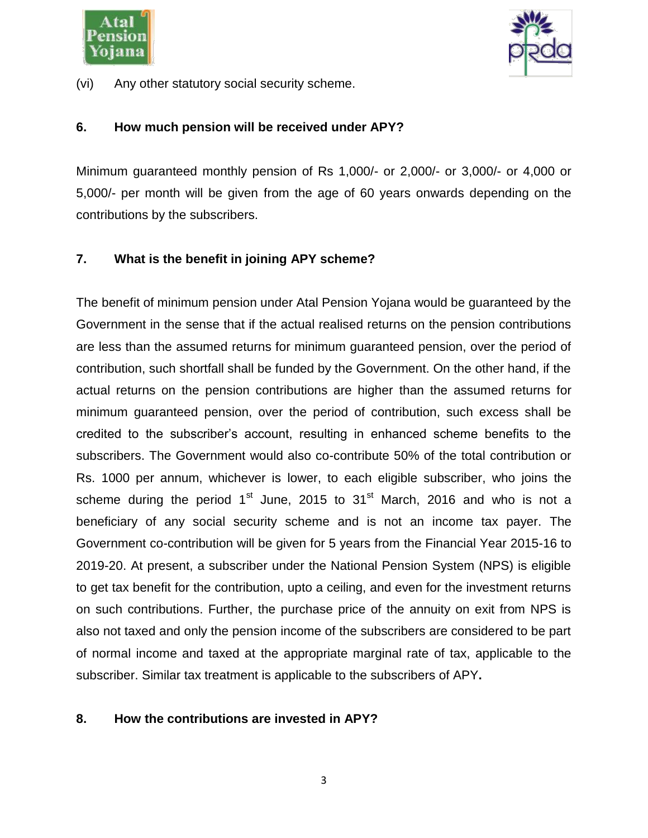



(vi) Any other statutory social security scheme.

#### **6. How much pension will be received under APY?**

Minimum guaranteed monthly pension of Rs 1,000/- or 2,000/- or 3,000/- or 4,000 or 5,000/- per month will be given from the age of 60 years onwards depending on the contributions by the subscribers.

#### **7. What is the benefit in joining APY scheme?**

The benefit of minimum pension under Atal Pension Yojana would be guaranteed by the Government in the sense that if the actual realised returns on the pension contributions are less than the assumed returns for minimum guaranteed pension, over the period of contribution, such shortfall shall be funded by the Government. On the other hand, if the actual returns on the pension contributions are higher than the assumed returns for minimum guaranteed pension, over the period of contribution, such excess shall be credited to the subscriber's account, resulting in enhanced scheme benefits to the subscribers. The Government would also co-contribute 50% of the total contribution or Rs. 1000 per annum, whichever is lower, to each eligible subscriber, who joins the scheme during the period  $1<sup>st</sup>$  June, 2015 to  $31<sup>st</sup>$  March, 2016 and who is not a beneficiary of any social security scheme and is not an income tax payer. The Government co-contribution will be given for 5 years from the Financial Year 2015-16 to 2019-20. At present, a subscriber under the National Pension System (NPS) is eligible to get tax benefit for the contribution, upto a ceiling, and even for the investment returns on such contributions. Further, the purchase price of the annuity on exit from NPS is also not taxed and only the pension income of the subscribers are considered to be part of normal income and taxed at the appropriate marginal rate of tax, applicable to the subscriber. Similar tax treatment is applicable to the subscribers of APY**.** 

#### **8. How the contributions are invested in APY?**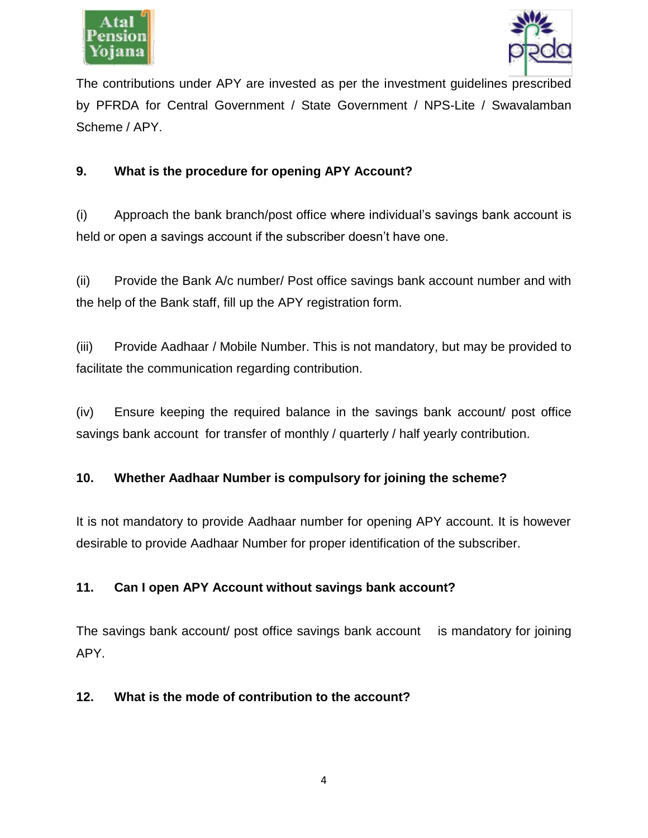



The contributions under APY are invested as per the investment guidelines prescribed by PFRDA for Central Government / State Government / NPS-Lite / Swavalamban Scheme / APY.

### **9. What is the procedure for opening APY Account?**

(i) Approach the bank branch/post office where individual's savings bank account is held or open a savings account if the subscriber doesn't have one.

(ii) Provide the Bank A/c number/ Post office savings bank account number and with the help of the Bank staff, fill up the APY registration form.

(iii) Provide Aadhaar / Mobile Number. This is not mandatory, but may be provided to facilitate the communication regarding contribution.

(iv) Ensure keeping the required balance in the savings bank account/ post office savings bank account for transfer of monthly / quarterly / half yearly contribution.

# **10. Whether Aadhaar Number is compulsory for joining the scheme?**

It is not mandatory to provide Aadhaar number for opening APY account. It is however desirable to provide Aadhaar Number for proper identification of the subscriber.

# **11. Can I open APY Account without savings bank account?**

The savings bank account/ post office savings bank account is mandatory for joining APY.

#### **12. What is the mode of contribution to the account?**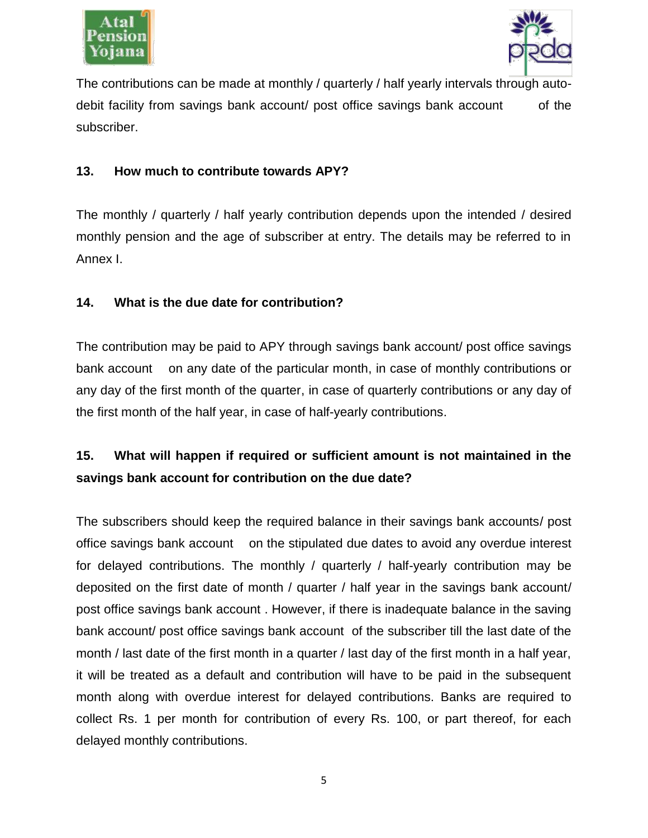



The contributions can be made at monthly / quarterly / half yearly intervals through autodebit facility from savings bank account/ post office savings bank account of the subscriber.

#### **13. How much to contribute towards APY?**

The monthly / quarterly / half yearly contribution depends upon the intended / desired monthly pension and the age of subscriber at entry. The details may be referred to in Annex I.

#### **14. What is the due date for contribution?**

The contribution may be paid to APY through savings bank account/ post office savings bank account on any date of the particular month, in case of monthly contributions or any day of the first month of the quarter, in case of quarterly contributions or any day of the first month of the half year, in case of half-yearly contributions.

# **15. What will happen if required or sufficient amount is not maintained in the savings bank account for contribution on the due date?**

The subscribers should keep the required balance in their savings bank accounts/ post office savings bank account on the stipulated due dates to avoid any overdue interest for delayed contributions. The monthly / quarterly / half-yearly contribution may be deposited on the first date of month / quarter / half year in the savings bank account/ post office savings bank account . However, if there is inadequate balance in the saving bank account/ post office savings bank account of the subscriber till the last date of the month / last date of the first month in a quarter / last day of the first month in a half year, it will be treated as a default and contribution will have to be paid in the subsequent month along with overdue interest for delayed contributions. Banks are required to collect Rs. 1 per month for contribution of every Rs. 100, or part thereof, for each delayed monthly contributions.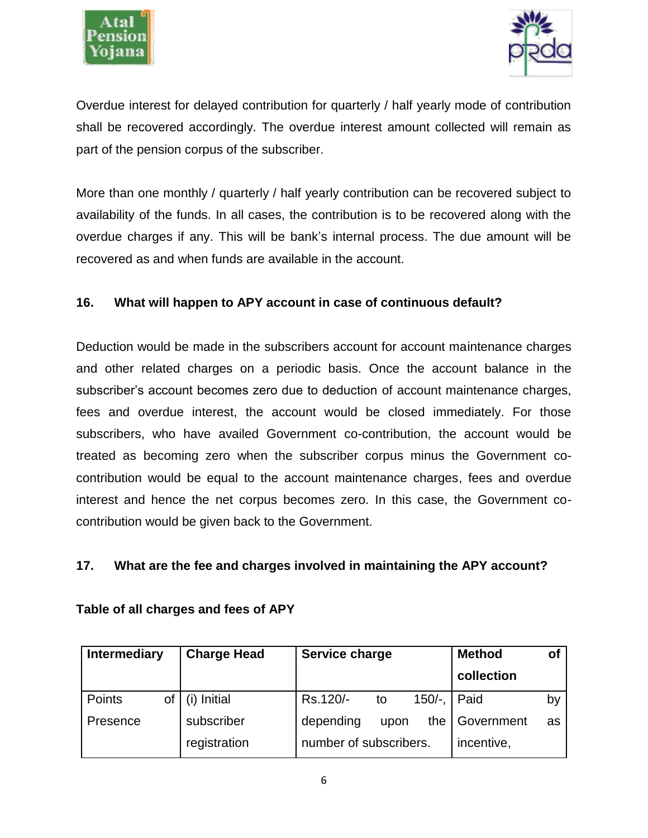



Overdue interest for delayed contribution for quarterly / half yearly mode of contribution shall be recovered accordingly. The overdue interest amount collected will remain as part of the pension corpus of the subscriber.

More than one monthly / quarterly / half yearly contribution can be recovered subject to availability of the funds. In all cases, the contribution is to be recovered along with the overdue charges if any. This will be bank's internal process. The due amount will be recovered as and when funds are available in the account.

#### **16. What will happen to APY account in case of continuous default?**

Deduction would be made in the subscribers account for account maintenance charges and other related charges on a periodic basis. Once the account balance in the subscriber's account becomes zero due to deduction of account maintenance charges, fees and overdue interest, the account would be closed immediately. For those subscribers, who have availed Government co-contribution, the account would be treated as becoming zero when the subscriber corpus minus the Government cocontribution would be equal to the account maintenance charges, fees and overdue interest and hence the net corpus becomes zero. In this case, the Government cocontribution would be given back to the Government.

#### **17. What are the fee and charges involved in maintaining the APY account?**

| <b>Intermediary</b> | <b>Charge Head</b> | Service charge                          | <b>Method</b><br>οf |
|---------------------|--------------------|-----------------------------------------|---------------------|
|                     |                    |                                         | collection          |
| <b>Points</b>       | of $(i)$ Initial   | Rs.120/-<br>$150/-$ , $\parallel$<br>to | Paid<br>by          |
| Presence            | subscriber         | depending<br>the $\mathsf I$<br>upon    | Government<br>as    |
|                     | registration       | number of subscribers.                  | incentive,          |

#### **Table of all charges and fees of APY**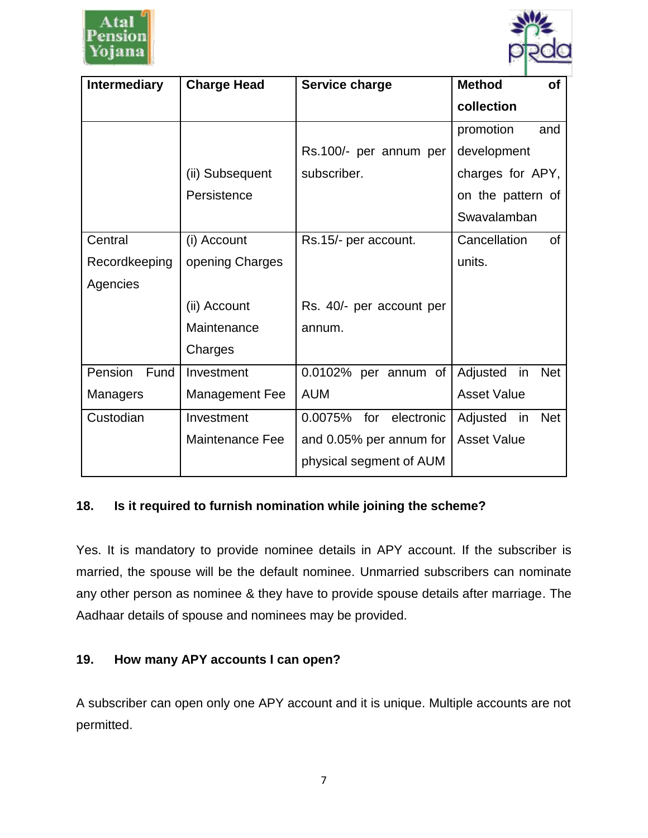



| <b>Intermediary</b> | <b>Charge Head</b>    | Service charge               | <b>Method</b><br><b>of</b>    |
|---------------------|-----------------------|------------------------------|-------------------------------|
|                     |                       |                              | collection                    |
|                     |                       |                              | promotion<br>and              |
|                     |                       | Rs.100/- per annum per       | development                   |
|                     | (ii) Subsequent       | subscriber.                  | charges for APY,              |
|                     | Persistence           |                              | on the pattern of             |
|                     |                       |                              | Swavalamban                   |
| Central             | (i) Account           | Rs.15/- per account.         | $\mathsf{of}$<br>Cancellation |
| Recordkeeping       | opening Charges       |                              | units.                        |
| Agencies            |                       |                              |                               |
|                     | (ii) Account          | Rs. 40/- per account per     |                               |
|                     | Maintenance           | annum.                       |                               |
|                     | Charges               |                              |                               |
| Fund<br>Pension     | Investment            | 0.0102% per annum of         | Adjusted in<br><b>Net</b>     |
| <b>Managers</b>     | <b>Management Fee</b> | <b>AUM</b>                   | <b>Asset Value</b>            |
| Custodian           | Investment            | electronic<br>0.0075%<br>for | <b>Net</b><br>Adjusted in     |
|                     | Maintenance Fee       | and 0.05% per annum for      | <b>Asset Value</b>            |
|                     |                       | physical segment of AUM      |                               |

#### **18. Is it required to furnish nomination while joining the scheme?**

Yes. It is mandatory to provide nominee details in APY account. If the subscriber is married, the spouse will be the default nominee. Unmarried subscribers can nominate any other person as nominee & they have to provide spouse details after marriage. The Aadhaar details of spouse and nominees may be provided.

### **19. How many APY accounts I can open?**

A subscriber can open only one APY account and it is unique. Multiple accounts are not permitted.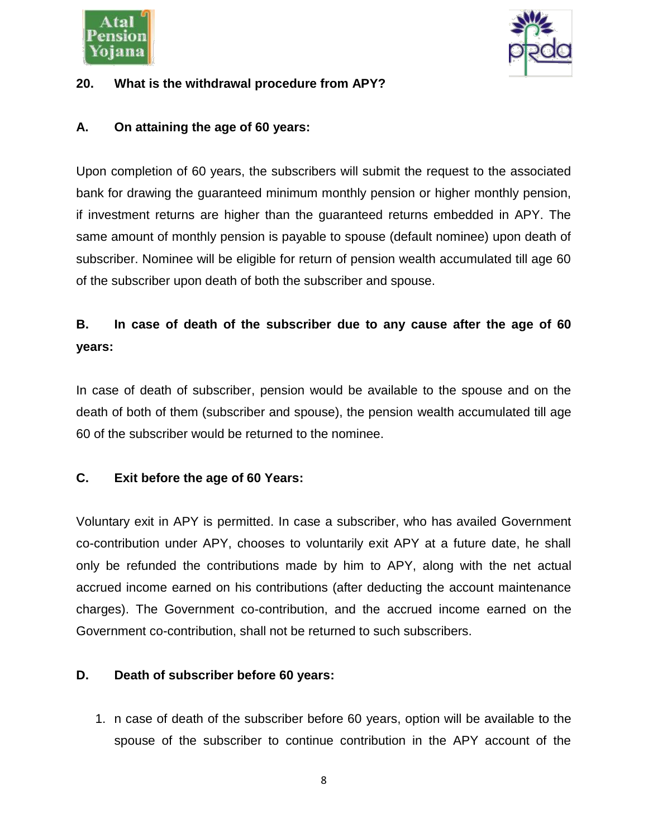



#### **20. What is the withdrawal procedure from APY?**

#### **A. On attaining the age of 60 years:**

Upon completion of 60 years, the subscribers will submit the request to the associated bank for drawing the guaranteed minimum monthly pension or higher monthly pension, if investment returns are higher than the guaranteed returns embedded in APY. The same amount of monthly pension is payable to spouse (default nominee) upon death of subscriber. Nominee will be eligible for return of pension wealth accumulated till age 60 of the subscriber upon death of both the subscriber and spouse.

# **B. In case of death of the subscriber due to any cause after the age of 60 years:**

In case of death of subscriber, pension would be available to the spouse and on the death of both of them (subscriber and spouse), the pension wealth accumulated till age 60 of the subscriber would be returned to the nominee.

#### **C. Exit before the age of 60 Years:**

Voluntary exit in APY is permitted. In case a subscriber, who has availed Government co-contribution under APY, chooses to voluntarily exit APY at a future date, he shall only be refunded the contributions made by him to APY, along with the net actual accrued income earned on his contributions (after deducting the account maintenance charges). The Government co-contribution, and the accrued income earned on the Government co-contribution, shall not be returned to such subscribers.

#### **D. Death of subscriber before 60 years:**

1. n case of death of the subscriber before 60 years, option will be available to the spouse of the subscriber to continue contribution in the APY account of the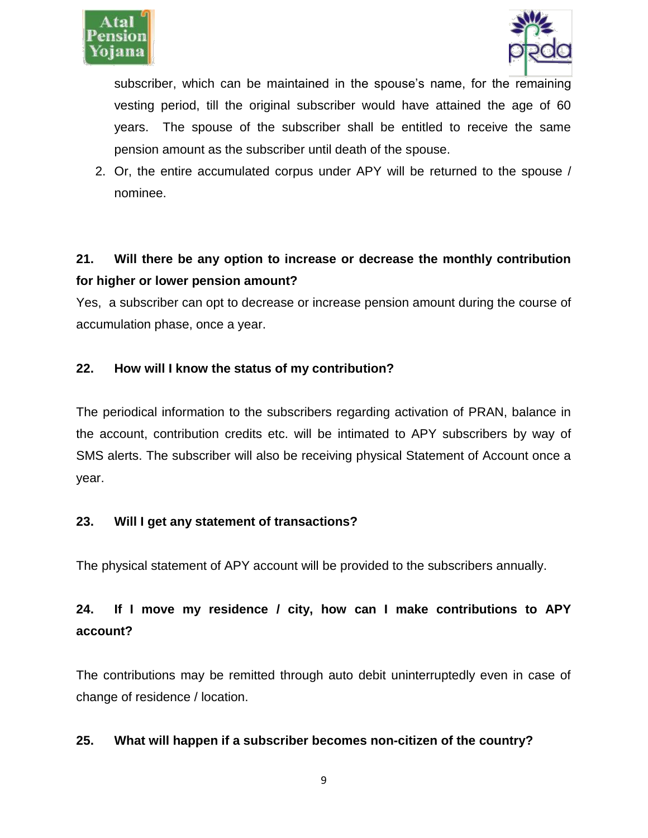



subscriber, which can be maintained in the spouse's name, for the remaining vesting period, till the original subscriber would have attained the age of 60 years. The spouse of the subscriber shall be entitled to receive the same pension amount as the subscriber until death of the spouse.

2. Or, the entire accumulated corpus under APY will be returned to the spouse / nominee.

# **21. Will there be any option to increase or decrease the monthly contribution for higher or lower pension amount?**

Yes, a subscriber can opt to decrease or increase pension amount during the course of accumulation phase, once a year.

### **22. How will I know the status of my contribution?**

The periodical information to the subscribers regarding activation of PRAN, balance in the account, contribution credits etc. will be intimated to APY subscribers by way of SMS alerts. The subscriber will also be receiving physical Statement of Account once a year.

#### **23. Will I get any statement of transactions?**

The physical statement of APY account will be provided to the subscribers annually.

# **24. If I move my residence / city, how can I make contributions to APY account?**

The contributions may be remitted through auto debit uninterruptedly even in case of change of residence / location.

#### **25. What will happen if a subscriber becomes non-citizen of the country?**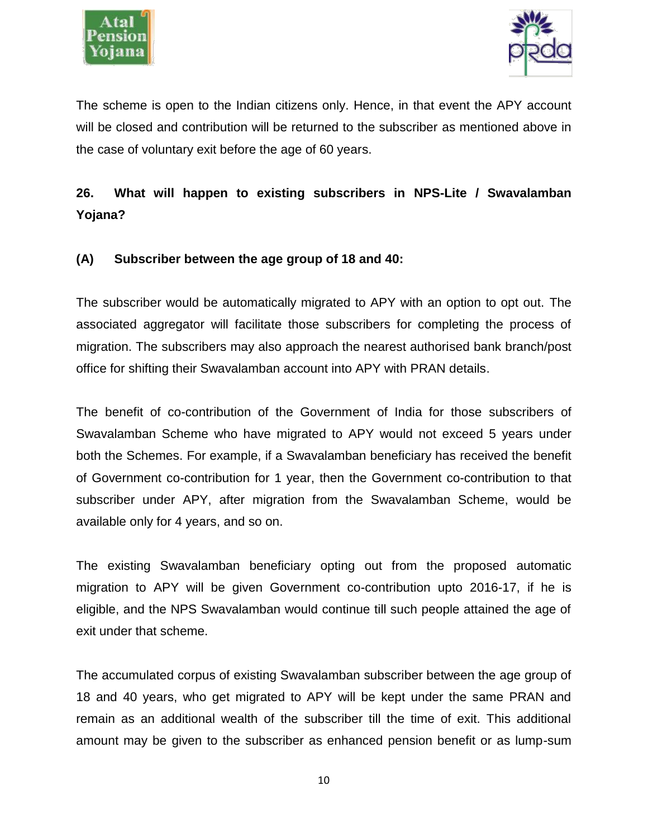



The scheme is open to the Indian citizens only. Hence, in that event the APY account will be closed and contribution will be returned to the subscriber as mentioned above in the case of voluntary exit before the age of 60 years.

**26. What will happen to existing subscribers in NPS-Lite / Swavalamban Yojana?**

#### **(A) Subscriber between the age group of 18 and 40:**

The subscriber would be automatically migrated to APY with an option to opt out. The associated aggregator will facilitate those subscribers for completing the process of migration. The subscribers may also approach the nearest authorised bank branch/post office for shifting their Swavalamban account into APY with PRAN details.

The benefit of co-contribution of the Government of India for those subscribers of Swavalamban Scheme who have migrated to APY would not exceed 5 years under both the Schemes. For example, if a Swavalamban beneficiary has received the benefit of Government co-contribution for 1 year, then the Government co-contribution to that subscriber under APY, after migration from the Swavalamban Scheme, would be available only for 4 years, and so on.

The existing Swavalamban beneficiary opting out from the proposed automatic migration to APY will be given Government co-contribution upto 2016-17, if he is eligible, and the NPS Swavalamban would continue till such people attained the age of exit under that scheme.

The accumulated corpus of existing Swavalamban subscriber between the age group of 18 and 40 years, who get migrated to APY will be kept under the same PRAN and remain as an additional wealth of the subscriber till the time of exit. This additional amount may be given to the subscriber as enhanced pension benefit or as lump-sum